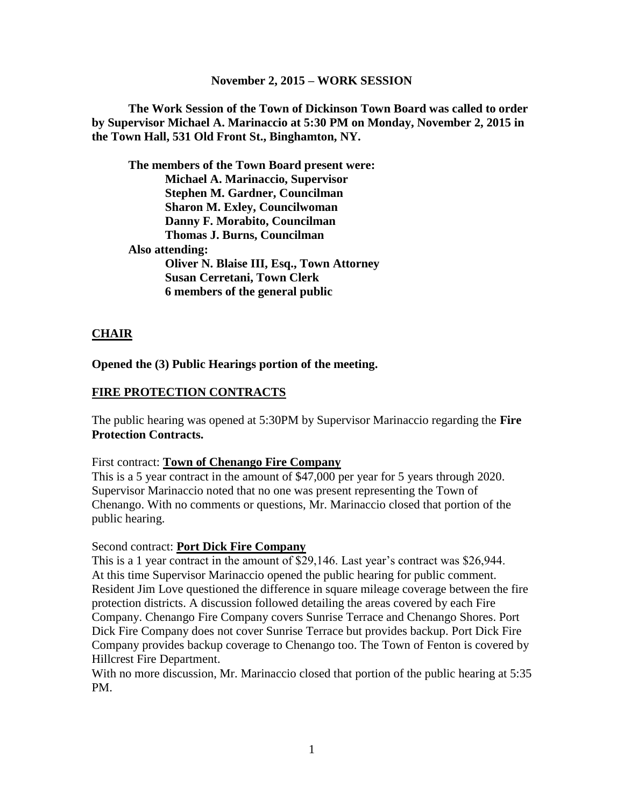#### **November 2, 2015 – WORK SESSION**

**The Work Session of the Town of Dickinson Town Board was called to order by Supervisor Michael A. Marinaccio at 5:30 PM on Monday, November 2, 2015 in the Town Hall, 531 Old Front St., Binghamton, NY.**

**The members of the Town Board present were: Michael A. Marinaccio, Supervisor Stephen M. Gardner, Councilman Sharon M. Exley, Councilwoman Danny F. Morabito, Councilman Thomas J. Burns, Councilman Also attending: Oliver N. Blaise III, Esq., Town Attorney Susan Cerretani, Town Clerk 6 members of the general public**

#### **CHAIR**

**Opened the (3) Public Hearings portion of the meeting.**

#### **FIRE PROTECTION CONTRACTS**

The public hearing was opened at 5:30PM by Supervisor Marinaccio regarding the **Fire Protection Contracts.** 

First contract: **Town of Chenango Fire Company**

This is a 5 year contract in the amount of \$47,000 per year for 5 years through 2020. Supervisor Marinaccio noted that no one was present representing the Town of Chenango. With no comments or questions, Mr. Marinaccio closed that portion of the public hearing.

#### Second contract: **Port Dick Fire Company**

This is a 1 year contract in the amount of \$29,146. Last year's contract was \$26,944. At this time Supervisor Marinaccio opened the public hearing for public comment. Resident Jim Love questioned the difference in square mileage coverage between the fire protection districts. A discussion followed detailing the areas covered by each Fire Company. Chenango Fire Company covers Sunrise Terrace and Chenango Shores. Port Dick Fire Company does not cover Sunrise Terrace but provides backup. Port Dick Fire Company provides backup coverage to Chenango too. The Town of Fenton is covered by Hillcrest Fire Department.

With no more discussion, Mr. Marinaccio closed that portion of the public hearing at 5:35 PM.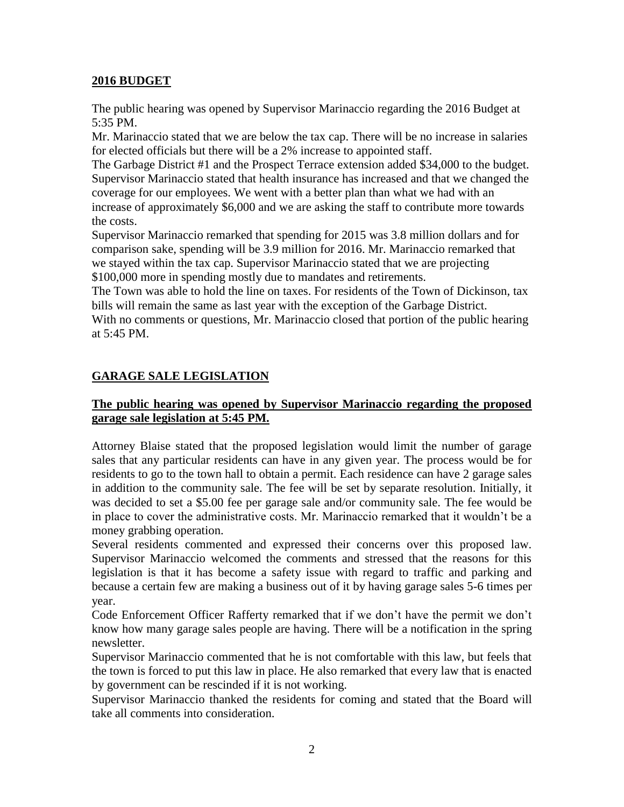#### **2016 BUDGET**

The public hearing was opened by Supervisor Marinaccio regarding the 2016 Budget at 5:35 PM.

Mr. Marinaccio stated that we are below the tax cap. There will be no increase in salaries for elected officials but there will be a 2% increase to appointed staff.

The Garbage District #1 and the Prospect Terrace extension added \$34,000 to the budget. Supervisor Marinaccio stated that health insurance has increased and that we changed the coverage for our employees. We went with a better plan than what we had with an increase of approximately \$6,000 and we are asking the staff to contribute more towards the costs.

Supervisor Marinaccio remarked that spending for 2015 was 3.8 million dollars and for comparison sake, spending will be 3.9 million for 2016. Mr. Marinaccio remarked that we stayed within the tax cap. Supervisor Marinaccio stated that we are projecting \$100,000 more in spending mostly due to mandates and retirements.

The Town was able to hold the line on taxes. For residents of the Town of Dickinson, tax bills will remain the same as last year with the exception of the Garbage District.

With no comments or questions, Mr. Marinaccio closed that portion of the public hearing at 5:45 PM.

# **GARAGE SALE LEGISLATION**

### **The public hearing was opened by Supervisor Marinaccio regarding the proposed garage sale legislation at 5:45 PM.**

Attorney Blaise stated that the proposed legislation would limit the number of garage sales that any particular residents can have in any given year. The process would be for residents to go to the town hall to obtain a permit. Each residence can have 2 garage sales in addition to the community sale. The fee will be set by separate resolution. Initially, it was decided to set a \$5.00 fee per garage sale and/or community sale. The fee would be in place to cover the administrative costs. Mr. Marinaccio remarked that it wouldn't be a money grabbing operation.

Several residents commented and expressed their concerns over this proposed law. Supervisor Marinaccio welcomed the comments and stressed that the reasons for this legislation is that it has become a safety issue with regard to traffic and parking and because a certain few are making a business out of it by having garage sales 5-6 times per year.

Code Enforcement Officer Rafferty remarked that if we don't have the permit we don't know how many garage sales people are having. There will be a notification in the spring newsletter.

Supervisor Marinaccio commented that he is not comfortable with this law, but feels that the town is forced to put this law in place. He also remarked that every law that is enacted by government can be rescinded if it is not working.

Supervisor Marinaccio thanked the residents for coming and stated that the Board will take all comments into consideration.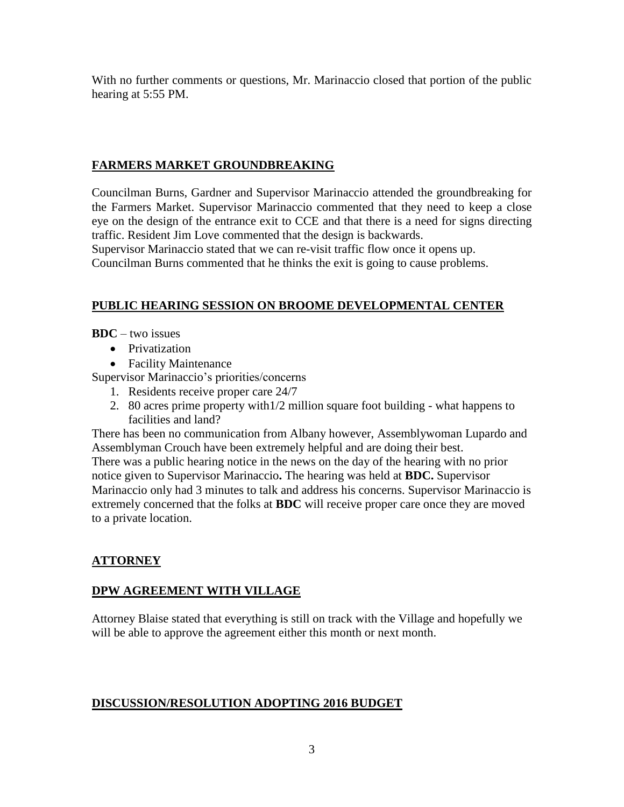With no further comments or questions, Mr. Marinaccio closed that portion of the public hearing at 5:55 PM.

### **FARMERS MARKET GROUNDBREAKING**

Councilman Burns, Gardner and Supervisor Marinaccio attended the groundbreaking for the Farmers Market. Supervisor Marinaccio commented that they need to keep a close eye on the design of the entrance exit to CCE and that there is a need for signs directing traffic. Resident Jim Love commented that the design is backwards.

Supervisor Marinaccio stated that we can re-visit traffic flow once it opens up.

Councilman Burns commented that he thinks the exit is going to cause problems.

# **PUBLIC HEARING SESSION ON BROOME DEVELOPMENTAL CENTER**

**BDC** – two issues

- Privatization
- Facility Maintenance

Supervisor Marinaccio's priorities/concerns

- 1. Residents receive proper care 24/7
- 2. 80 acres prime property with1/2 million square foot building what happens to facilities and land?

There has been no communication from Albany however, Assemblywoman Lupardo and Assemblyman Crouch have been extremely helpful and are doing their best. There was a public hearing notice in the news on the day of the hearing with no prior notice given to Supervisor Marinaccio**.** The hearing was held at **BDC.** Supervisor Marinaccio only had 3 minutes to talk and address his concerns. Supervisor Marinaccio is extremely concerned that the folks at **BDC** will receive proper care once they are moved to a private location.

# **ATTORNEY**

# **DPW AGREEMENT WITH VILLAGE**

Attorney Blaise stated that everything is still on track with the Village and hopefully we will be able to approve the agreement either this month or next month.

### **DISCUSSION/RESOLUTION ADOPTING 2016 BUDGET**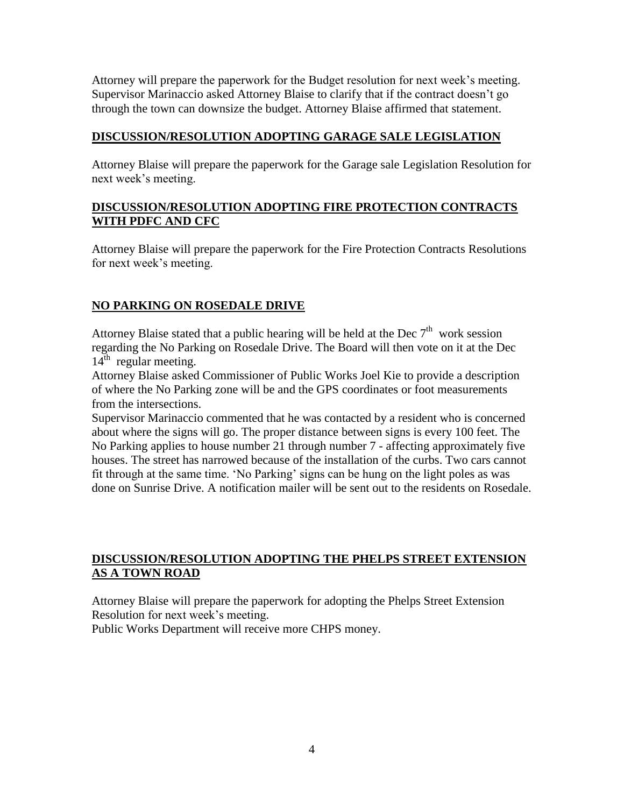Attorney will prepare the paperwork for the Budget resolution for next week's meeting. Supervisor Marinaccio asked Attorney Blaise to clarify that if the contract doesn't go through the town can downsize the budget. Attorney Blaise affirmed that statement.

#### **DISCUSSION/RESOLUTION ADOPTING GARAGE SALE LEGISLATION**

Attorney Blaise will prepare the paperwork for the Garage sale Legislation Resolution for next week's meeting.

### **DISCUSSION/RESOLUTION ADOPTING FIRE PROTECTION CONTRACTS WITH PDFC AND CFC**

Attorney Blaise will prepare the paperwork for the Fire Protection Contracts Resolutions for next week's meeting.

### **NO PARKING ON ROSEDALE DRIVE**

Attorney Blaise stated that a public hearing will be held at the Dec  $7<sup>th</sup>$  work session regarding the No Parking on Rosedale Drive. The Board will then vote on it at the Dec  $14<sup>th</sup>$  regular meeting.

Attorney Blaise asked Commissioner of Public Works Joel Kie to provide a description of where the No Parking zone will be and the GPS coordinates or foot measurements from the intersections.

Supervisor Marinaccio commented that he was contacted by a resident who is concerned about where the signs will go. The proper distance between signs is every 100 feet. The No Parking applies to house number 21 through number 7 - affecting approximately five houses. The street has narrowed because of the installation of the curbs. Two cars cannot fit through at the same time. 'No Parking' signs can be hung on the light poles as was done on Sunrise Drive. A notification mailer will be sent out to the residents on Rosedale.

### **DISCUSSION/RESOLUTION ADOPTING THE PHELPS STREET EXTENSION AS A TOWN ROAD**

Attorney Blaise will prepare the paperwork for adopting the Phelps Street Extension Resolution for next week's meeting.

Public Works Department will receive more CHPS money.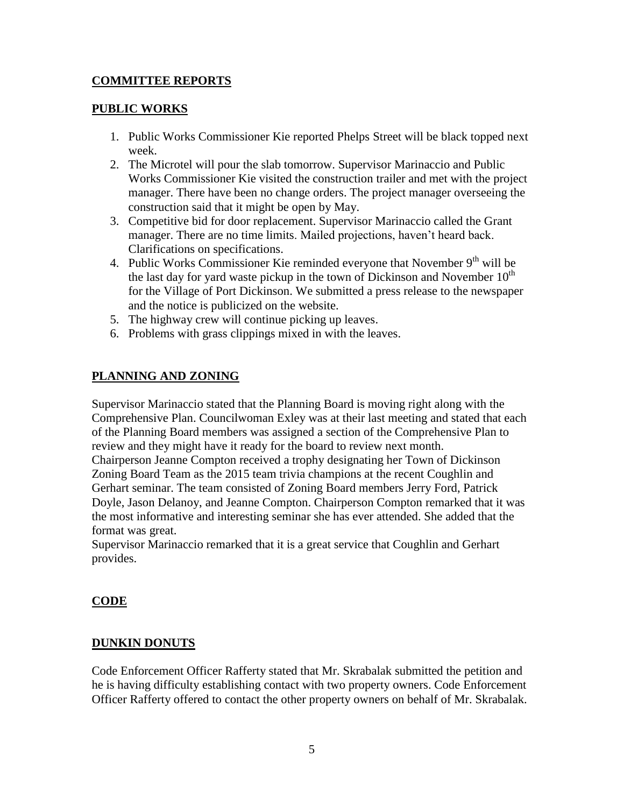### **COMMITTEE REPORTS**

### **PUBLIC WORKS**

- 1. Public Works Commissioner Kie reported Phelps Street will be black topped next week.
- 2. The Microtel will pour the slab tomorrow. Supervisor Marinaccio and Public Works Commissioner Kie visited the construction trailer and met with the project manager. There have been no change orders. The project manager overseeing the construction said that it might be open by May.
- 3. Competitive bid for door replacement. Supervisor Marinaccio called the Grant manager. There are no time limits. Mailed projections, haven't heard back. Clarifications on specifications.
- 4. Public Works Commissioner Kie reminded everyone that November  $9<sup>th</sup>$  will be the last day for yard waste pickup in the town of Dickinson and November  $10<sup>th</sup>$ for the Village of Port Dickinson. We submitted a press release to the newspaper and the notice is publicized on the website.
- 5. The highway crew will continue picking up leaves.
- 6. Problems with grass clippings mixed in with the leaves.

# **PLANNING AND ZONING**

Supervisor Marinaccio stated that the Planning Board is moving right along with the Comprehensive Plan. Councilwoman Exley was at their last meeting and stated that each of the Planning Board members was assigned a section of the Comprehensive Plan to review and they might have it ready for the board to review next month. Chairperson Jeanne Compton received a trophy designating her Town of Dickinson Zoning Board Team as the 2015 team trivia champions at the recent Coughlin and Gerhart seminar. The team consisted of Zoning Board members Jerry Ford, Patrick Doyle, Jason Delanoy, and Jeanne Compton. Chairperson Compton remarked that it was the most informative and interesting seminar she has ever attended. She added that the format was great.

Supervisor Marinaccio remarked that it is a great service that Coughlin and Gerhart provides.

### **CODE**

### **DUNKIN DONUTS**

Code Enforcement Officer Rafferty stated that Mr. Skrabalak submitted the petition and he is having difficulty establishing contact with two property owners. Code Enforcement Officer Rafferty offered to contact the other property owners on behalf of Mr. Skrabalak.